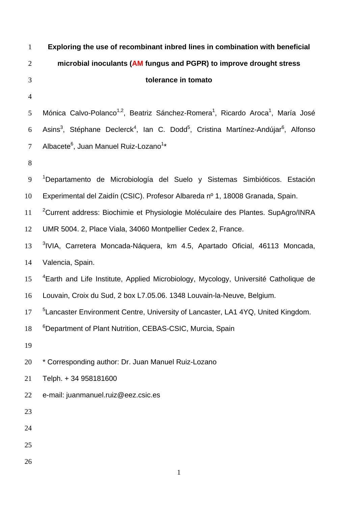| $\mathbf{1}$   | Exploring the use of recombinant inbred lines in combination with beneficial                                                      |
|----------------|-----------------------------------------------------------------------------------------------------------------------------------|
| $\overline{2}$ | microbial inoculants (AM fungus and PGPR) to improve drought stress                                                               |
| 3              | tolerance in tomato                                                                                                               |
| $\overline{4}$ |                                                                                                                                   |
| 5              | Mónica Calvo-Polanco <sup>1,2</sup> , Beatriz Sánchez-Romera <sup>1</sup> , Ricardo Aroca <sup>1</sup> , María José               |
| 6              | Asins <sup>3</sup> , Stéphane Declerck <sup>4</sup> , Ian C. Dodd <sup>5</sup> , Cristina Martínez-Andújar <sup>6</sup> , Alfonso |
| $\tau$         | Albacete <sup>6</sup> , Juan Manuel Ruiz-Lozano <sup>1*</sup>                                                                     |
| $8\,$          |                                                                                                                                   |
| 9              | <sup>1</sup> Departamento de Microbiología del Suelo y Sistemas Simbióticos. Estación                                             |
| 10             | Experimental del Zaidín (CSIC). Profesor Albareda nº 1, 18008 Granada, Spain.                                                     |
| 11             | <sup>2</sup> Current address: Biochimie et Physiologie Moléculaire des Plantes. SupAgro/INRA                                      |
| 12             | UMR 5004. 2, Place Viala, 34060 Montpellier Cedex 2, France.                                                                      |
| 13             | <sup>3</sup> IVIA, Carretera Moncada-Náquera, km 4.5, Apartado Oficial, 46113 Moncada,                                            |
| 14             | Valencia, Spain.                                                                                                                  |
| 15             | <sup>4</sup> Earth and Life Institute, Applied Microbiology, Mycology, Université Catholique de                                   |
| 16             | Louvain, Croix du Sud, 2 box L7.05.06. 1348 Louvain-la-Neuve, Belgium.                                                            |
| 17             | <sup>5</sup> Lancaster Environment Centre, University of Lancaster, LA1 4YQ, United Kingdom.                                      |
| 18             | <sup>6</sup> Department of Plant Nutrition, CEBAS-CSIC, Murcia, Spain                                                             |
| 19             |                                                                                                                                   |
| 20             | * Corresponding author: Dr. Juan Manuel Ruiz-Lozano                                                                               |
| 21             | Telph. + 34 958181600                                                                                                             |
| 22             | e-mail: juanmanuel.ruiz@eez.csic.es                                                                                               |
| 23             |                                                                                                                                   |
| 24             |                                                                                                                                   |
| 25             |                                                                                                                                   |
| 26             |                                                                                                                                   |
|                | 1                                                                                                                                 |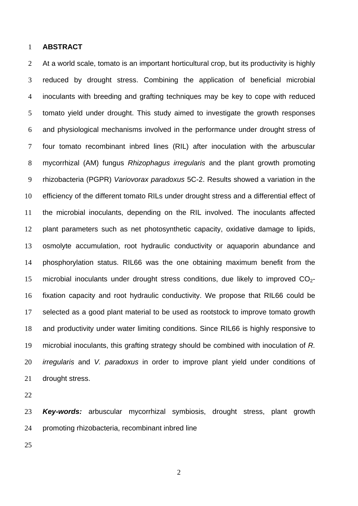## **ABSTRACT**

2 At a world scale, tomato is an important horticultural crop, but its productivity is highly reduced by drought stress. Combining the application of beneficial microbial inoculants with breeding and grafting techniques may be key to cope with reduced tomato yield under drought. This study aimed to investigate the growth responses and physiological mechanisms involved in the performance under drought stress of four tomato recombinant inbred lines (RIL) after inoculation with the arbuscular mycorrhizal (AM) fungus *Rhizophagus irregularis* and the plant growth promoting rhizobacteria (PGPR) *Variovorax paradoxus* 5C-2. Results showed a variation in the efficiency of the different tomato RILs under drought stress and a differential effect of the microbial inoculants, depending on the RIL involved. The inoculants affected plant parameters such as net photosynthetic capacity, oxidative damage to lipids, osmolyte accumulation, root hydraulic conductivity or aquaporin abundance and phosphorylation status. RIL66 was the one obtaining maximum benefit from the 15 microbial inoculants under drought stress conditions, due likely to improved  $CO<sub>2</sub>$ -fixation capacity and root hydraulic conductivity. We propose that RIL66 could be selected as a good plant material to be used as rootstock to improve tomato growth and productivity under water limiting conditions. Since RIL66 is highly responsive to microbial inoculants, this grafting strategy should be combined with inoculation of *R. irregularis* and *V. paradoxus* in order to improve plant yield under conditions of drought stress.

*Key-words:* arbuscular mycorrhizal symbiosis, drought stress, plant growth promoting rhizobacteria, recombinant inbred line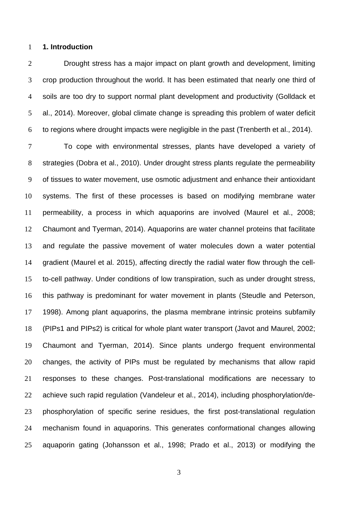## **1. Introduction**

Drought stress has a major impact on plant growth and development, limiting crop production throughout the world. It has been estimated that nearly one third of soils are too dry to support normal plant development and productivity (Golldack et al., 2014). Moreover, global climate change is spreading this problem of water deficit to regions where drought impacts were negligible in the past (Trenberth et al., 2014).

To cope with environmental stresses, plants have developed a variety of strategies (Dobra et al., 2010). Under drought stress plants regulate the permeability of tissues to water movement, use osmotic adjustment and enhance their antioxidant systems. The first of these processes is based on modifying membrane water permeability, a process in which aquaporins are involved (Maurel et al., 2008; Chaumont and Tyerman, 2014). Aquaporins are water channel proteins that facilitate and regulate the passive movement of water molecules down a water potential gradient (Maurel et al. 2015), affecting directly the radial water flow through the cell-to-cell pathway. Under conditions of low transpiration, such as under drought stress, this pathway is predominant for water movement in plants (Steudle and Peterson, 1998). Among plant aquaporins, the plasma membrane intrinsic proteins subfamily (PIPs1 and PIPs2) is critical for whole plant water transport (Javot and Maurel, 2002; Chaumont and Tyerman, 2014). Since plants undergo frequent environmental changes, the activity of PIPs must be regulated by mechanisms that allow rapid responses to these changes. Post-translational modifications are necessary to achieve such rapid regulation (Vandeleur et al., 2014), including phosphorylation/de-phosphorylation of specific serine residues, the first post-translational regulation mechanism found in aquaporins. This generates conformational changes allowing aquaporin gating (Johansson et al., 1998; Prado et al., 2013) or modifying the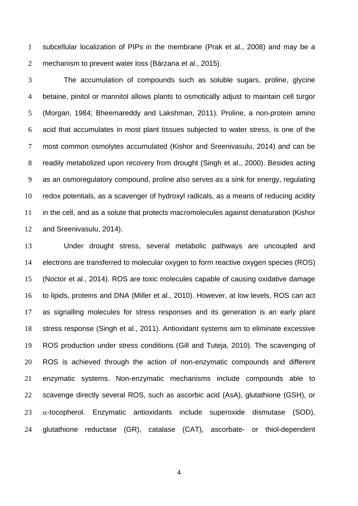subcellular localization of PIPs in the membrane (Prak et al., 2008) and may be a mechanism to prevent water loss (Bárzana et al., 2015).

The accumulation of compounds such as soluble sugars, proline, glycine betaine, pinitol or mannitol allows plants to osmotically adjust to maintain cell turgor (Morgan, 1984; Bheemareddy and Lakshman, 2011). Proline, a non-protein amino acid that accumulates in most plant tissues subjected to water stress, is one of the most common osmolytes accumulated (Kishor and Sreenivasulu, 2014) and can be readily metabolized upon recovery from drought (Singh et al., 2000). Besides acting as an osmoregulatory compound, proline also serves as a sink for energy, regulating redox potentials, as a scavenger of hydroxyl radicals, as a means of reducing acidity in the cell, and as a solute that protects macromolecules against denaturation (Kishor and Sreenivasulu, 2014).

Under drought stress, several metabolic pathways are uncoupled and electrons are transferred to molecular oxygen to form reactive oxygen species (ROS) (Noctor et al., 2014). ROS are toxic molecules capable of causing oxidative damage to lipids, proteins and DNA (Miller et al., 2010). However, at low levels, ROS can act as signalling molecules for stress responses and its generation is an early plant stress response (Singh et al., 2011). Antioxidant systems aim to eliminate excessive ROS production under stress conditions (Gill and Tuteja, 2010). The scavenging of ROS is achieved through the action of non-enzymatic compounds and different enzymatic systems. Non-enzymatic mechanisms include compounds able to scavenge directly several ROS, such as ascorbic acid (AsA), glutathione (GSH), or  $\alpha$ -tocopherol. Enzymatic antioxidants include superoxide dismutase (SOD), glutathione reductase (GR), catalase (CAT), ascorbate- or thiol-dependent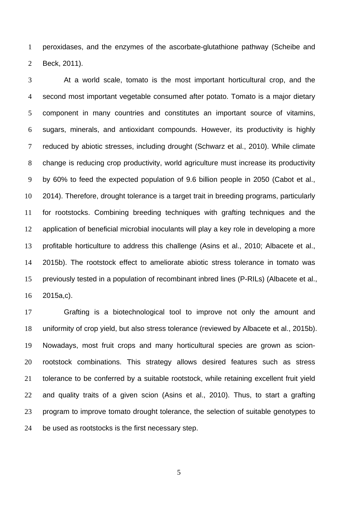peroxidases, and the enzymes of the ascorbate-glutathione pathway (Scheibe and Beck, 2011).

At a world scale, tomato is the most important horticultural crop, and the second most important vegetable consumed after potato. Tomato is a major dietary component in many countries and constitutes an important source of vitamins, sugars, minerals, and antioxidant compounds. However, its productivity is highly reduced by abiotic stresses, including drought (Schwarz et al., 2010). While climate change is reducing crop productivity, world agriculture must increase its productivity by 60% to feed the expected population of 9.6 billion people in 2050 (Cabot et al., 2014). Therefore, drought tolerance is a target trait in breeding programs, particularly for rootstocks. Combining breeding techniques with grafting techniques and the application of beneficial microbial inoculants will play a key role in developing a more profitable horticulture to address this challenge (Asins et al., 2010; Albacete et al., 2015b). The rootstock effect to ameliorate abiotic stress tolerance in tomato was previously tested in a population of recombinant inbred lines (P-RILs) (Albacete et al., 2015a,c).

Grafting is a biotechnological tool to improve not only the amount and uniformity of crop yield, but also stress tolerance (reviewed by Albacete et al., 2015b). Nowadays, most fruit crops and many horticultural species are grown as scion-rootstock combinations. This strategy allows desired features such as stress tolerance to be conferred by a suitable rootstock, while retaining excellent fruit yield and quality traits of a given scion (Asins et al., 2010). Thus, to start a grafting 23 program to improve tomato drought tolerance, the selection of suitable genotypes to be used as rootstocks is the first necessary step.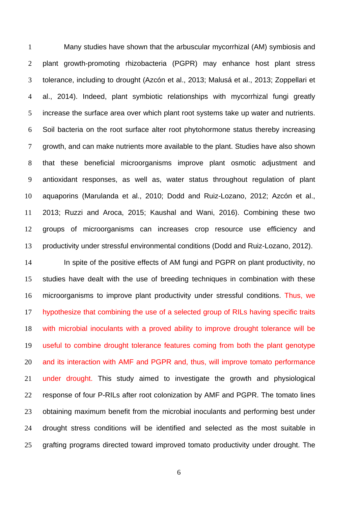Many studies have shown that the arbuscular mycorrhizal (AM) symbiosis and plant growth-promoting rhizobacteria (PGPR) may enhance host plant stress tolerance, including to drought (Azcón et al., 2013; Malusá et al., 2013; Zoppellari et al., 2014). Indeed, plant symbiotic relationships with mycorrhizal fungi greatly increase the surface area over which plant root systems take up water and nutrients. Soil bacteria on the root surface alter root phytohormone status thereby increasing growth, and can make nutrients more available to the plant. Studies have also shown that these beneficial microorganisms improve plant osmotic adjustment and antioxidant responses, as well as, water status throughout regulation of plant aquaporins (Marulanda et al., 2010; Dodd and Ruiz-Lozano, 2012; Azcón et al., 2013; Ruzzi and Aroca, 2015; Kaushal and Wani, 2016). Combining these two groups of microorganisms can increases crop resource use efficiency and productivity under stressful environmental conditions (Dodd and Ruiz-Lozano, 2012).

In spite of the positive effects of AM fungi and PGPR on plant productivity, no studies have dealt with the use of breeding techniques in combination with these microorganisms to improve plant productivity under stressful conditions. Thus, we hypothesize that combining the use of a selected group of RILs having specific traits with microbial inoculants with a proved ability to improve drought tolerance will be useful to combine drought tolerance features coming from both the plant genotype and its interaction with AMF and PGPR and, thus, will improve tomato performance under drought. This study aimed to investigate the growth and physiological response of four P-RILs after root colonization by AMF and PGPR. The tomato lines obtaining maximum benefit from the microbial inoculants and performing best under drought stress conditions will be identified and selected as the most suitable in grafting programs directed toward improved tomato productivity under drought. The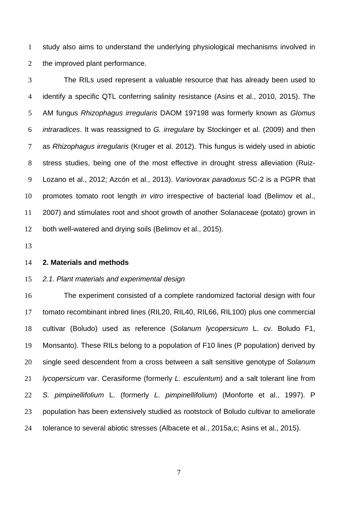study also aims to understand the underlying physiological mechanisms involved in the improved plant performance.

The RILs used represent a valuable resource that has already been used to identify a specific QTL conferring salinity resistance (Asins et al., 2010, 2015). The AM fungus *Rhizophagus irregularis* DAOM 197198 was formerly known as *Glomus intraradices*. It was reassigned to *G. irregulare* by Stockinger et al. (2009) and then as *Rhizophagus irregularis* (Kruger et al. 2012). This fungus is widely used in abiotic stress studies, being one of the most effective in drought stress alleviation (Ruiz-Lozano et al., 2012; Azcón et al., 2013). *Variovorax paradoxus* 5C-2 is a PGPR that promotes tomato root length *in vitro* irrespective of bacterial load (Belimov et al., 2007) and stimulates root and shoot growth of another Solanaceae (potato) grown in both well-watered and drying soils (Belimov et al., 2015).

## **2. Materials and methods**

# *2.1. Plant materials and experimental design*

The experiment consisted of a complete randomized factorial design with four tomato recombinant inbred lines (RIL20, RIL40, RIL66, RIL100) plus one commercial cultivar (Boludo) used as reference (*Solanum lycopersicum* L. cv. Boludo F1, Monsanto). These RILs belong to a population of F10 lines (P population) derived by single seed descendent from a cross between a salt sensitive genotype of *Solanum lycopersicum* var. Cerasiforme (formerly *L. esculentum*) and a salt tolerant line from *S. pimpinellifolium* L. (formerly *L. pimpinellifolium*) (Monforte et al., 1997). P population has been extensively studied as rootstock of Boludo cultivar to ameliorate tolerance to several abiotic stresses (Albacete et al., 2015a,c; Asins et al., 2015).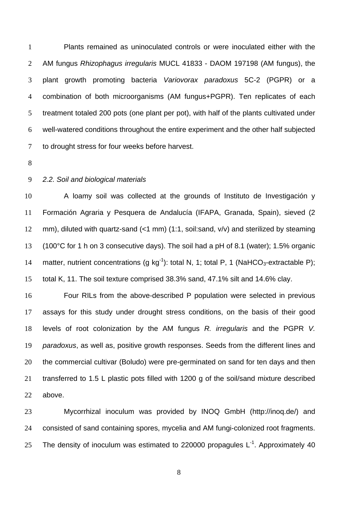Plants remained as uninoculated controls or were inoculated either with the AM fungus *Rhizophagus irregularis* MUCL 41833 - DAOM 197198 (AM fungus), the plant growth promoting bacteria *Variovorax paradoxus* 5C-2 (PGPR) or a combination of both microorganisms (AM fungus+PGPR). Ten replicates of each treatment totaled 200 pots (one plant per pot), with half of the plants cultivated under well-watered conditions throughout the entire experiment and the other half subjected to drought stress for four weeks before harvest.

# *2.2. Soil and biological materials*

A loamy soil was collected at the grounds of Instituto de Investigación y Formación Agraria y Pesquera de Andalucía (IFAPA, Granada, Spain), sieved (2 mm), diluted with quartz-sand (<1 mm) (1:1, soil:sand, v/v) and sterilized by steaming (100°C for 1 h on 3 consecutive days). The soil had a pH of 8.1 (water); 1.5% organic 14 matter, nutrient concentrations (g kg<sup>-1</sup>): total N, 1; total P, 1 (NaHCO<sub>3</sub>-extractable P); total K, 11. The soil texture comprised 38.3% sand, 47.1% silt and 14.6% clay.

Four RILs from the above-described P population were selected in previous assays for this study under drought stress conditions, on the basis of their good levels of root colonization by the AM fungus *R. irregularis* and the PGPR *V. paradoxus*, as well as, positive growth responses. Seeds from the different lines and the commercial cultivar (Boludo) were pre-germinated on sand for ten days and then transferred to 1.5 L plastic pots filled with 1200 g of the soil/sand mixture described above.

Mycorrhizal inoculum was provided by INOQ GmbH (http://inoq.de/) and consisted of sand containing spores, mycelia and AM fungi-colonized root fragments. 25 The density of inoculum was estimated to 220000 propagules  $L^{-1}$ . Approximately 40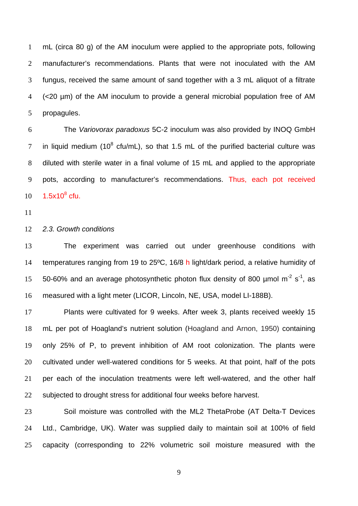mL (circa 80 g) of the AM inoculum were applied to the appropriate pots, following manufacturer's recommendations. Plants that were not inoculated with the AM fungus, received the same amount of sand together with a 3 mL aliquot of a filtrate (<20 µm) of the AM inoculum to provide a general microbial population free of AM propagules.

The *Variovorax paradoxus* 5C-2 inoculum was also provided by INOQ GmbH 7 in liquid medium ( $10^8$  cfu/mL), so that 1.5 mL of the purified bacterial culture was diluted with sterile water in a final volume of 15 mL and applied to the appropriate pots, according to manufacturer's recommendations. Thus, each pot received  $1.5x10^8$  cfu.

#### *2.3. Growth conditions*

The experiment was carried out under greenhouse conditions with temperatures ranging from 19 to 25ºC, 16/8 h light/dark period, a relative humidity of 50-60% and an average photosynthetic photon flux density of 800  $\mu$ mol m<sup>-2</sup> s<sup>-1</sup>, as measured with a light meter (LICOR, Lincoln, NE, USA, model LI-188B).

Plants were cultivated for 9 weeks. After week 3, plants received weekly 15 mL per pot of Hoagland's nutrient solution (Hoagland and Arnon, 1950) containing only 25% of P, to prevent inhibition of AM root colonization. The plants were cultivated under well-watered conditions for 5 weeks. At that point, half of the pots per each of the inoculation treatments were left well-watered, and the other half 22 subjected to drought stress for additional four weeks before harvest.

Soil moisture was controlled with the ML2 ThetaProbe (AT Delta-T Devices Ltd., Cambridge, UK). Water was supplied daily to maintain soil at 100% of field capacity (corresponding to 22% volumetric soil moisture measured with the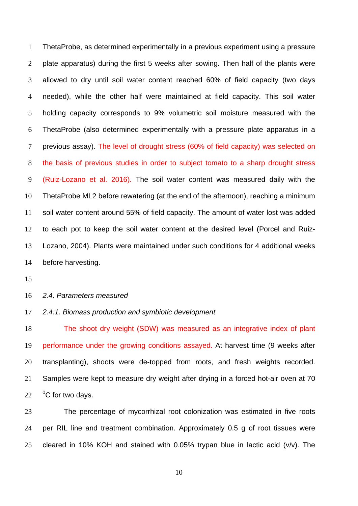ThetaProbe, as determined experimentally in a previous experiment using a pressure plate apparatus) during the first 5 weeks after sowing. Then half of the plants were allowed to dry until soil water content reached 60% of field capacity (two days needed), while the other half were maintained at field capacity. This soil water holding capacity corresponds to 9% volumetric soil moisture measured with the ThetaProbe (also determined experimentally with a pressure plate apparatus in a previous assay). The level of drought stress (60% of field capacity) was selected on the basis of previous studies in order to subject tomato to a sharp drought stress (Ruiz-Lozano et al. 2016). The soil water content was measured daily with the ThetaProbe ML2 before rewatering (at the end of the afternoon), reaching a minimum soil water content around 55% of field capacity. The amount of water lost was added to each pot to keep the soil water content at the desired level (Porcel and Ruiz-Lozano, 2004). Plants were maintained under such conditions for 4 additional weeks before harvesting.

#### *2.4. Parameters measured*

## *2.4.1. Biomass production and symbiotic development*

The shoot dry weight (SDW) was measured as an integrative index of plant performance under the growing conditions assayed. At harvest time (9 weeks after transplanting), shoots were de-topped from roots, and fresh weights recorded. Samples were kept to measure dry weight after drying in a forced hot-air oven at 70  $22 \t O<sup>0</sup>C$  for two days.

The percentage of mycorrhizal root colonization was estimated in five roots per RIL line and treatment combination. Approximately 0.5 g of root tissues were 25 cleared in 10% KOH and stained with 0.05% trypan blue in lactic acid  $(v/v)$ . The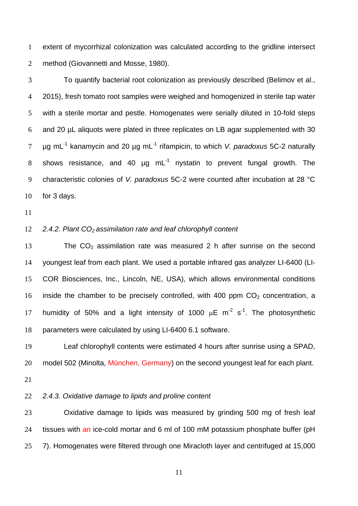extent of mycorrhizal colonization was calculated according to the gridline intersect method (Giovannetti and Mosse, 1980).

To quantify bacterial root colonization as previously described (Belimov et al., 2015), fresh tomato root samples were weighed and homogenized in sterile tap water with a sterile mortar and pestle. Homogenates were serially diluted in 10-fold steps and 20 µL aliquots were plated in three replicates on LB agar supplemented with 30 µg mL-1 kanamycin and 20 µg mL-1 rifampicin, to which *V. paradoxus* 5C-2 naturally 8 shows resistance, and 40  $\mu$ g mL<sup>-1</sup> nystatin to prevent fungal growth. The characteristic colonies of *V. paradoxus* 5C-2 were counted after incubation at 28 °C for 3 days.

## 12 **2.4.2. Plant CO**<sub>2</sub> assimilation rate and leaf chlorophyll content

13 The  $CO<sub>2</sub>$  assimilation rate was measured 2 h after sunrise on the second youngest leaf from each plant. We used a portable infrared gas analyzer LI-6400 (LI-COR Biosciences, Inc., Lincoln, NE, USA), which allows environmental conditions 16 inside the chamber to be precisely controlled, with 400 ppm  $CO<sub>2</sub>$  concentration, a 17 humidity of 50% and a light intensity of 1000  $\mu$ E m<sup>-2</sup> s<sup>-1</sup>. The photosynthetic parameters were calculated by using LI-6400 6.1 software.

Leaf chlorophyll contents were estimated 4 hours after sunrise using a SPAD, 20 model 502 (Minolta, München, Germany) on the second youngest leaf for each plant.

# *2.4.3. Oxidative damage to lipids and proline content*

Oxidative damage to lipids was measured by grinding 500 mg of fresh leaf tissues with an ice-cold mortar and 6 ml of 100 mM potassium phosphate buffer (pH 7). Homogenates were filtered through one Miracloth layer and centrifuged at 15,000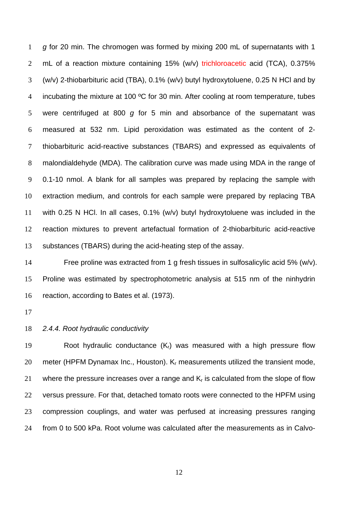*g* for 20 min. The chromogen was formed by mixing 200 mL of supernatants with 1 2 mL of a reaction mixture containing 15% (w/v) trichloroacetic acid (TCA), 0.375% (w/v) 2-thiobarbituric acid (TBA), 0.1% (w/v) butyl hydroxytoluene, 0.25 N HCl and by 4 incubating the mixture at 100 °C for 30 min. After cooling at room temperature, tubes were centrifuged at 800 *g* for 5 min and absorbance of the supernatant was measured at 532 nm. Lipid peroxidation was estimated as the content of 2- thiobarbituric acid-reactive substances (TBARS) and expressed as equivalents of malondialdehyde (MDA). The calibration curve was made using MDA in the range of 0.1-10 nmol. A blank for all samples was prepared by replacing the sample with extraction medium, and controls for each sample were prepared by replacing TBA with 0.25 N HCl. In all cases, 0.1% (w/v) butyl hydroxytoluene was included in the reaction mixtures to prevent artefactual formation of 2-thiobarbituric acid-reactive substances (TBARS) during the acid-heating step of the assay.

Free proline was extracted from 1 g fresh tissues in sulfosalicylic acid 5% (w/v). Proline was estimated by spectrophotometric analysis at 515 nm of the ninhydrin reaction, according to Bates et al. (1973).

#### *2.4.4. Root hydraulic conductivity*

19 Root hydraulic conductance  $(K_r)$  was measured with a high pressure flow 20 meter (HPFM Dynamax Inc., Houston). K<sub>r</sub> measurements utilized the transient mode, 21 where the pressure increases over a range and  $K_r$  is calculated from the slope of flow versus pressure. For that, detached tomato roots were connected to the HPFM using compression couplings, and water was perfused at increasing pressures ranging from 0 to 500 kPa. Root volume was calculated after the measurements as in Calvo-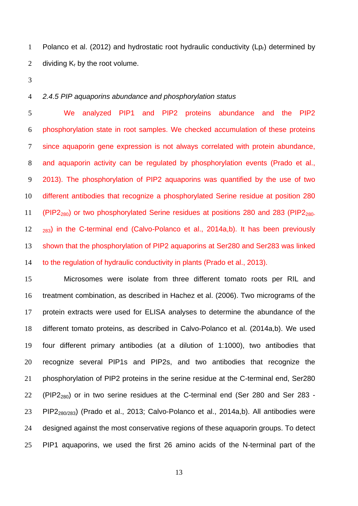1 Polanco et al. (2012) and hydrostatic root hydraulic conductivity  $(Lp_r)$  determined by 2 dividing  $K_r$  by the root volume.

# *2.4.5 PIP aquaporins abundance and phosphorylation status*

We analyzed PIP1 and PIP2 proteins abundance and the PIP2 phosphorylation state in root samples. We checked accumulation of these proteins since aquaporin gene expression is not always correlated with protein abundance, and aquaporin activity can be regulated by phosphorylation events (Prado et al., 2013). The phosphorylation of PIP2 aquaporins was quantified by the use of two different antibodies that recognize a phosphorylated Serine residue at position 280 11 (PIP2<sub>280</sub>) or two phosphorylated Serine residues at positions 280 and 283 (PIP2<sub>280</sub>.  $283)$  in the C-terminal end (Calvo-Polanco et al., 2014a,b). It has been previously shown that the phosphorylation of PIP2 aquaporins at Ser280 and Ser283 was linked to the regulation of hydraulic conductivity in plants (Prado et al., 2013).

Microsomes were isolate from three different tomato roots per RIL and treatment combination, as described in Hachez et al. (2006). Two micrograms of the protein extracts were used for ELISA analyses to determine the abundance of the different tomato proteins, as described in Calvo-Polanco et al. (2014a,b). We used four different primary antibodies (at a dilution of 1:1000), two antibodies that recognize several PIP1s and PIP2s, and two antibodies that recognize the phosphorylation of PIP2 proteins in the serine residue at the C-terminal end, Ser280 22 (PIP2<sub>280</sub>) or in two serine residues at the C-terminal end (Ser 280 and Ser 283 -PIP2280/283) (Prado et al., 2013; Calvo-Polanco et al., 2014a,b). All antibodies were designed against the most conservative regions of these aquaporin groups. To detect PIP1 aquaporins, we used the first 26 amino acids of the N-terminal part of the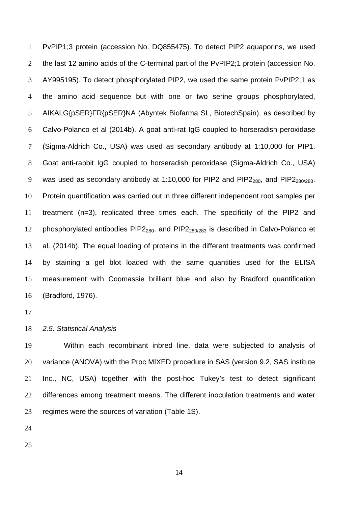PvPIP1;3 protein (accession No. DQ855475). To detect PIP2 aquaporins, we used the last 12 amino acids of the C-terminal part of the PvPIP2;1 protein (accession No. AY995195). To detect phosphorylated PIP2, we used the same protein PvPIP2;1 as the amino acid sequence but with one or two serine groups phosphorylated, AIKALG{pSER}FR{pSER}NA (Abyntek Biofarma SL, BiotechSpain), as described by Calvo-Polanco et al (2014b). A goat anti-rat IgG coupled to horseradish peroxidase (Sigma-Aldrich Co., USA) was used as secondary antibody at 1:10,000 for PIP1. Goat anti-rabbit IgG coupled to horseradish peroxidase (Sigma-Aldrich Co., USA) 9 was used as secondary antibody at 1:10,000 for PIP2 and PIP2<sub>280</sub>, and PIP2<sub>280/283</sub>. Protein quantification was carried out in three different independent root samples per treatment (n=3), replicated three times each. The specificity of the PIP2 and 12 phosphorylated antibodies  $PIP2_{280}$ , and  $PIP2_{280/283}$  is described in Calvo-Polanco et al. (2014b). The equal loading of proteins in the different treatments was confirmed by staining a gel blot loaded with the same quantities used for the ELISA measurement with Coomassie brilliant blue and also by Bradford quantification (Bradford, 1976).

### *2.5. Statistical Analysis*

Within each recombinant inbred line, data were subjected to analysis of variance (ANOVA) with the Proc MIXED procedure in SAS (version 9.2, SAS institute Inc., NC, USA) together with the post-hoc Tukey's test to detect significant 22 differences among treatment means. The different inoculation treatments and water regimes were the sources of variation (Table 1S).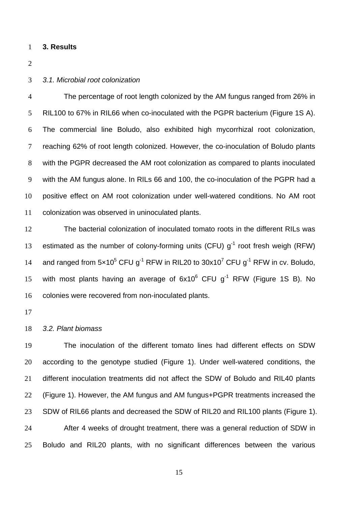#### **3. Results**

# *3.1. Microbial root colonization*

The percentage of root length colonized by the AM fungus ranged from 26% in RIL100 to 67% in RIL66 when co-inoculated with the PGPR bacterium (Figure 1S A). The commercial line Boludo, also exhibited high mycorrhizal root colonization, reaching 62% of root length colonized. However, the co-inoculation of Boludo plants with the PGPR decreased the AM root colonization as compared to plants inoculated with the AM fungus alone. In RILs 66 and 100, the co-inoculation of the PGPR had a positive effect on AM root colonization under well-watered conditions. No AM root colonization was observed in uninoculated plants.

The bacterial colonization of inoculated tomato roots in the different RILs was 13 estimated as the number of colony-forming units (CFU)  $g^{-1}$  root fresh weigh (RFW) 14 and ranged from  $5 \times 10^5$  CFU g<sup>-1</sup> RFW in RIL20 to  $30 \times 10^7$  CFU g<sup>-1</sup> RFW in cv. Boludo, 15 with most plants having an average of  $6x10^6$  CFU  $g^{-1}$  RFW (Figure 1S B). No colonies were recovered from non-inoculated plants.

# *3.2. Plant biomass*

The inoculation of the different tomato lines had different effects on SDW according to the genotype studied (Figure 1). Under well-watered conditions, the different inoculation treatments did not affect the SDW of Boludo and RIL40 plants (Figure 1). However, the AM fungus and AM fungus+PGPR treatments increased the SDW of RIL66 plants and decreased the SDW of RIL20 and RIL100 plants (Figure 1). After 4 weeks of drought treatment, there was a general reduction of SDW in Boludo and RIL20 plants, with no significant differences between the various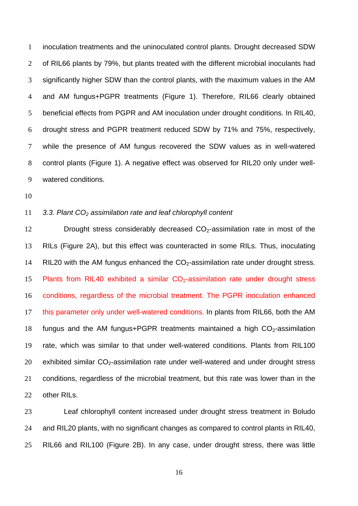inoculation treatments and the uninoculated control plants. Drought decreased SDW of RIL66 plants by 79%, but plants treated with the different microbial inoculants had significantly higher SDW than the control plants, with the maximum values in the AM and AM fungus+PGPR treatments (Figure 1). Therefore, RIL66 clearly obtained beneficial effects from PGPR and AM inoculation under drought conditions. In RIL40, drought stress and PGPR treatment reduced SDW by 71% and 75%, respectively, while the presence of AM fungus recovered the SDW values as in well-watered control plants (Figure 1). A negative effect was observed for RIL20 only under well-watered conditions.

# *3.3. Plant CO2 assimilation rate and leaf chlorophyll content*

12 Drought stress considerably decreased  $CO<sub>2</sub>$ -assimilation rate in most of the RILs (Figure 2A), but this effect was counteracted in some RILs. Thus, inoculating 14 RIL20 with the AM fungus enhanced the  $CO<sub>2</sub>$ -assimilation rate under drought stress. 15 Plants from RIL40 exhibited a similar  $CO<sub>2</sub>$ -assimilation rate under drought stress conditions, regardless of the microbial treatment. The PGPR inoculation enhanced this parameter only under well-watered conditions. In plants from RIL66, both the AM 18 fungus and the AM fungus+PGPR treatments maintained a high  $CO<sub>2</sub>$ -assimilation rate, which was similar to that under well-watered conditions. Plants from RIL100 20 exhibited similar  $CO<sub>2</sub>$ -assimilation rate under well-watered and under drought stress conditions, regardless of the microbial treatment, but this rate was lower than in the other RILs.

Leaf chlorophyll content increased under drought stress treatment in Boludo and RIL20 plants, with no significant changes as compared to control plants in RIL40, RIL66 and RIL100 (Figure 2B). In any case, under drought stress, there was little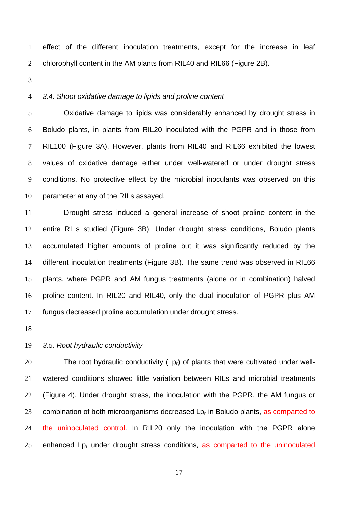effect of the different inoculation treatments, except for the increase in leaf 2 chlorophyll content in the AM plants from RIL40 and RIL66 (Figure 2B).

# *3.4. Shoot oxidative damage to lipids and proline content*

Oxidative damage to lipids was considerably enhanced by drought stress in Boludo plants, in plants from RIL20 inoculated with the PGPR and in those from RIL100 (Figure 3A). However, plants from RIL40 and RIL66 exhibited the lowest values of oxidative damage either under well-watered or under drought stress conditions. No protective effect by the microbial inoculants was observed on this parameter at any of the RILs assayed.

Drought stress induced a general increase of shoot proline content in the entire RILs studied (Figure 3B). Under drought stress conditions, Boludo plants accumulated higher amounts of proline but it was significantly reduced by the different inoculation treatments (Figure 3B). The same trend was observed in RIL66 plants, where PGPR and AM fungus treatments (alone or in combination) halved proline content. In RIL20 and RIL40, only the dual inoculation of PGPR plus AM fungus decreased proline accumulation under drought stress.

# *3.5. Root hydraulic conductivity*

20 The root hydraulic conductivity (Lp<sub>r</sub>) of plants that were cultivated under well-watered conditions showed little variation between RILs and microbial treatments (Figure 4). Under drought stress, the inoculation with the PGPR, the AM fungus or 23 combination of both microorganisms decreased  $L_{p_r}$  in Boludo plants, as comparted to the uninoculated control. In RIL20 only the inoculation with the PGPR alone 25 enhanced  $L_{p_r}$  under drought stress conditions, as comparted to the uninoculated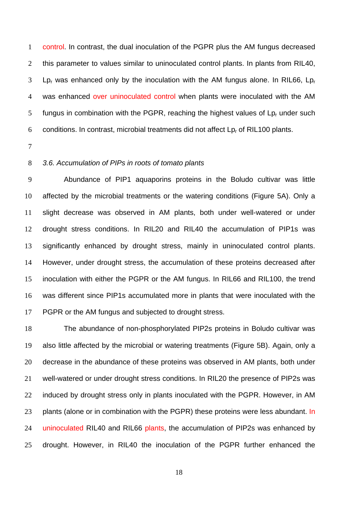control. In contrast, the dual inoculation of the PGPR plus the AM fungus decreased this parameter to values similar to uninoculated control plants. In plants from RIL40, Lp<sub>r</sub> was enhanced only by the inoculation with the AM fungus alone. In RIL66, Lp<sub>r</sub> 4 was enhanced over uninoculated control when plants were inoculated with the AM 5 fungus in combination with the PGPR, reaching the highest values of  $L_{p_r}$  under such conditions. In contrast, microbial treatments did not affect Lpr of RIL100 plants.

## *3.6. Accumulation of PIPs in roots of tomato plants*

Abundance of PIP1 aquaporins proteins in the Boludo cultivar was little affected by the microbial treatments or the watering conditions (Figure 5A). Only a slight decrease was observed in AM plants, both under well-watered or under drought stress conditions. In RIL20 and RIL40 the accumulation of PIP1s was significantly enhanced by drought stress, mainly in uninoculated control plants. However, under drought stress, the accumulation of these proteins decreased after inoculation with either the PGPR or the AM fungus. In RIL66 and RIL100, the trend was different since PIP1s accumulated more in plants that were inoculated with the 17 PGPR or the AM fungus and subjected to drought stress.

The abundance of non-phosphorylated PIP2s proteins in Boludo cultivar was also little affected by the microbial or watering treatments (Figure 5B). Again, only a decrease in the abundance of these proteins was observed in AM plants, both under well-watered or under drought stress conditions. In RIL20 the presence of PIP2s was induced by drought stress only in plants inoculated with the PGPR. However, in AM 23 plants (alone or in combination with the PGPR) these proteins were less abundant. In 24 uninoculated RIL40 and RIL66 plants, the accumulation of PIP2s was enhanced by drought. However, in RIL40 the inoculation of the PGPR further enhanced the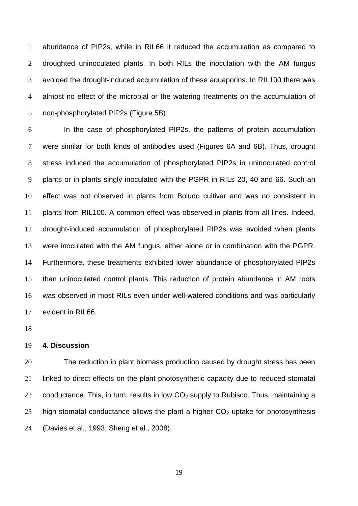abundance of PIP2s, while in RIL66 it reduced the accumulation as compared to droughted uninoculated plants. In both RILs the inoculation with the AM fungus avoided the drought-induced accumulation of these aquaporins. In RIL100 there was almost no effect of the microbial or the watering treatments on the accumulation of non-phosphorylated PIP2s (Figure 5B).

In the case of phosphorylated PIP2s, the patterns of protein accumulation were similar for both kinds of antibodies used (Figures 6A and 6B). Thus, drought stress induced the accumulation of phosphorylated PIP2s in uninoculated control plants or in plants singly inoculated with the PGPR in RILs 20, 40 and 66. Such an effect was not observed in plants from Boludo cultivar and was no consistent in plants from RIL100. A common effect was observed in plants from all lines. Indeed, drought-induced accumulation of phosphorylated PIP2s was avoided when plants were inoculated with the AM fungus, either alone or in combination with the PGPR. Furthermore, these treatments exhibited lower abundance of phosphorylated PIP2s than uninoculated control plants. This reduction of protein abundance in AM roots was observed in most RILs even under well-watered conditions and was particularly evident in RIL66.

## **4. Discussion**

The reduction in plant biomass production caused by drought stress has been linked to direct effects on the plant photosynthetic capacity due to reduced stomatal 22 conductance. This, in turn, results in low  $CO<sub>2</sub>$  supply to Rubisco. Thus, maintaining a 23 high stomatal conductance allows the plant a higher  $CO<sub>2</sub>$  uptake for photosynthesis (Davies et al., 1993; Sheng et al., 2008).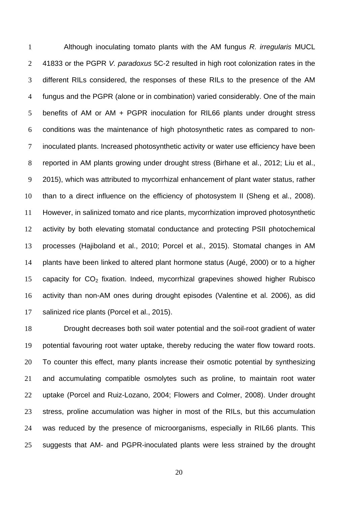Although inoculating tomato plants with the AM fungus *R. irregularis* MUCL 41833 or the PGPR *V. paradoxus* 5C-2 resulted in high root colonization rates in the different RILs considered, the responses of these RILs to the presence of the AM fungus and the PGPR (alone or in combination) varied considerably. One of the main benefits of AM or AM + PGPR inoculation for RIL66 plants under drought stress conditions was the maintenance of high photosynthetic rates as compared to non-inoculated plants. Increased photosynthetic activity or water use efficiency have been reported in AM plants growing under drought stress (Birhane et al., 2012; Liu et al., 2015), which was attributed to mycorrhizal enhancement of plant water status, rather than to a direct influence on the efficiency of photosystem II (Sheng et al., 2008). However, in salinized tomato and rice plants, mycorrhization improved photosynthetic activity by both elevating stomatal conductance and protecting PSII photochemical processes (Hajiboland et al., 2010; Porcel et al., 2015). Stomatal changes in AM plants have been linked to altered plant hormone status (Augé, 2000) or to a higher 15 capacity for  $CO<sub>2</sub>$  fixation. Indeed, mycorrhizal grapevines showed higher Rubisco activity than non-AM ones during drought episodes (Valentine et al. 2006), as did salinized rice plants (Porcel et al., 2015).

Drought decreases both soil water potential and the soil-root gradient of water potential favouring root water uptake, thereby reducing the water flow toward roots. To counter this effect, many plants increase their osmotic potential by synthesizing and accumulating compatible osmolytes such as proline, to maintain root water uptake (Porcel and Ruiz-Lozano, 2004; Flowers and Colmer, 2008). Under drought stress, proline accumulation was higher in most of the RILs, but this accumulation was reduced by the presence of microorganisms, especially in RIL66 plants. This suggests that AM- and PGPR-inoculated plants were less strained by the drought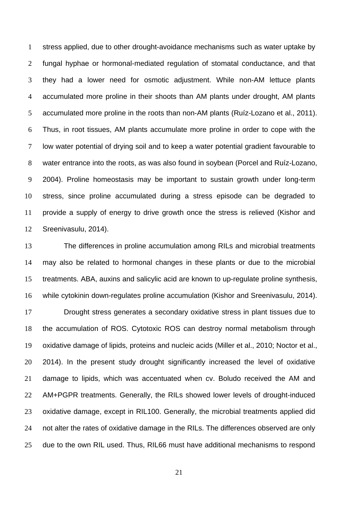stress applied, due to other drought-avoidance mechanisms such as water uptake by fungal hyphae or hormonal-mediated regulation of stomatal conductance, and that they had a lower need for osmotic adjustment. While non-AM lettuce plants accumulated more proline in their shoots than AM plants under drought, AM plants accumulated more proline in the roots than non-AM plants (Ruíz-Lozano et al., 2011). Thus, in root tissues, AM plants accumulate more proline in order to cope with the low water potential of drying soil and to keep a water potential gradient favourable to water entrance into the roots, as was also found in soybean (Porcel and Ruíz-Lozano, 2004). Proline homeostasis may be important to sustain growth under long-term stress, since proline accumulated during a stress episode can be degraded to provide a supply of energy to drive growth once the stress is relieved (Kishor and Sreenivasulu, 2014).

The differences in proline accumulation among RILs and microbial treatments may also be related to hormonal changes in these plants or due to the microbial treatments. ABA, auxins and salicylic acid are known to up-regulate proline synthesis, while cytokinin down-regulates proline accumulation (Kishor and Sreenivasulu, 2014).

Drought stress generates a secondary oxidative stress in plant tissues due to the accumulation of ROS. Cytotoxic ROS can destroy normal metabolism through oxidative damage of lipids, proteins and nucleic acids (Miller et al., 2010; Noctor et al., 2014). In the present study drought significantly increased the level of oxidative damage to lipids, which was accentuated when cv. Boludo received the AM and AM+PGPR treatments. Generally, the RILs showed lower levels of drought-induced oxidative damage, except in RIL100. Generally, the microbial treatments applied did not alter the rates of oxidative damage in the RILs. The differences observed are only due to the own RIL used. Thus, RIL66 must have additional mechanisms to respond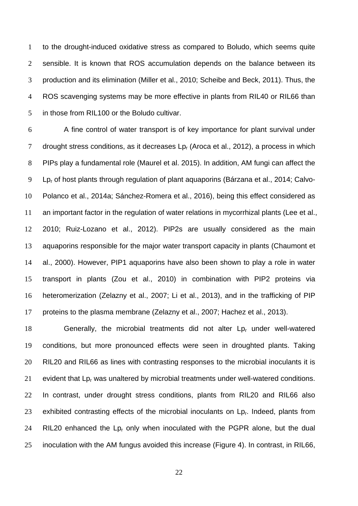to the drought-induced oxidative stress as compared to Boludo, which seems quite sensible. It is known that ROS accumulation depends on the balance between its production and its elimination (Miller et al., 2010; Scheibe and Beck, 2011). Thus, the ROS scavenging systems may be more effective in plants from RIL40 or RIL66 than in those from RIL100 or the Boludo cultivar.

A fine control of water transport is of key importance for plant survival under 7 drought stress conditions, as it decreases  $L_{Pr}$  (Aroca et al., 2012), a process in which PIPs play a fundamental role (Maurel et al. 2015). In addition, AM fungi can affect the Lpr of host plants through regulation of plant aquaporins (Bárzana et al., 2014; Calvo-Polanco et al., 2014a; Sánchez-Romera et al., 2016), being this effect considered as an important factor in the regulation of water relations in mycorrhizal plants (Lee et al., 2010; Ruiz-Lozano et al., 2012). PIP2s are usually considered as the main aquaporins responsible for the major water transport capacity in plants (Chaumont et al., 2000). However, PIP1 aquaporins have also been shown to play a role in water transport in plants (Zou et al., 2010) in combination with PIP2 proteins via heteromerization (Zelazny et al., 2007; Li et al., 2013), and in the trafficking of PIP proteins to the plasma membrane (Zelazny et al., 2007; Hachez et al., 2013).

18 Generally, the microbial treatments did not alter Lp<sub>r</sub> under well-watered conditions, but more pronounced effects were seen in droughted plants. Taking RIL20 and RIL66 as lines with contrasting responses to the microbial inoculants it is 21 evident that  $L_{p_r}$  was unaltered by microbial treatments under well-watered conditions. In contrast, under drought stress conditions, plants from RIL20 and RIL66 also 23 exhibited contrasting effects of the microbial inoculants on Lp<sub>r</sub>. Indeed, plants from 24 RIL20 enhanced the  $L_{p_r}$  only when inoculated with the PGPR alone, but the dual inoculation with the AM fungus avoided this increase (Figure 4). In contrast, in RIL66,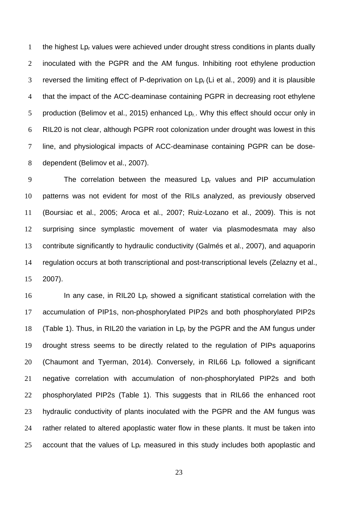1 the highest  $L_{p_r}$  values were achieved under drought stress conditions in plants dually inoculated with the PGPR and the AM fungus. Inhibiting root ethylene production 3 reversed the limiting effect of P-deprivation on  $L_{p<sub>r</sub>}$  (Li et al., 2009) and it is plausible that the impact of the ACC-deaminase containing PGPR in decreasing root ethylene 5 production (Belimov et al., 2015) enhanced  $L_{p_1}$ . Why this effect should occur only in RIL20 is not clear, although PGPR root colonization under drought was lowest in this line, and physiological impacts of ACC-deaminase containing PGPR can be dose-dependent (Belimov et al., 2007).

9 The correlation between the measured  $L_{p_r}$  values and PIP accumulation patterns was not evident for most of the RILs analyzed, as previously observed (Boursiac et al., 2005; Aroca et al., 2007; Ruiz-Lozano et al., 2009). This is not surprising since symplastic movement of water via plasmodesmata may also contribute significantly to hydraulic conductivity (Galmés et al., 2007), and aquaporin regulation occurs at both transcriptional and post-transcriptional levels (Zelazny et al., 2007).

16 In any case, in RIL20 Lp<sub>r</sub> showed a significant statistical correlation with the accumulation of PIP1s, non-phosphorylated PIP2s and both phosphorylated PIP2s 18 (Table 1). Thus, in RIL20 the variation in Lp<sub>r</sub> by the PGPR and the AM fungus under drought stress seems to be directly related to the regulation of PIPs aquaporins 20 (Chaumont and Tyerman, 2014). Conversely, in RIL66 Lp<sub>r</sub> followed a significant negative correlation with accumulation of non-phosphorylated PIP2s and both phosphorylated PIP2s (Table 1). This suggests that in RIL66 the enhanced root hydraulic conductivity of plants inoculated with the PGPR and the AM fungus was rather related to altered apoplastic water flow in these plants. It must be taken into 25 account that the values of  $L_{p_r}$  measured in this study includes both apoplastic and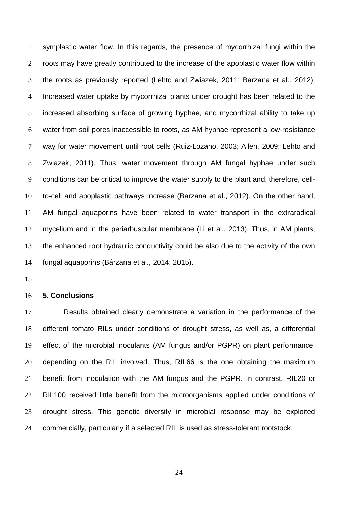symplastic water flow. In this regards, the presence of mycorrhizal fungi within the 2 roots may have greatly contributed to the increase of the apoplastic water flow within the roots as previously reported (Lehto and Zwiazek, 2011; Barzana et al., 2012). Increased water uptake by mycorrhizal plants under drought has been related to the increased absorbing surface of growing hyphae, and mycorrhizal ability to take up water from soil pores inaccessible to roots, as AM hyphae represent a low-resistance way for water movement until root cells (Ruiz-Lozano, 2003; Allen, 2009; Lehto and Zwiazek, 2011). Thus, water movement through AM fungal hyphae under such conditions can be critical to improve the water supply to the plant and, therefore, cell-to-cell and apoplastic pathways increase (Barzana et al., 2012). On the other hand, AM fungal aquaporins have been related to water transport in the extraradical mycelium and in the periarbuscular membrane (Li et al., 2013). Thus, in AM plants, the enhanced root hydraulic conductivity could be also due to the activity of the own fungal aquaporins (Bárzana et al., 2014; 2015).

## **5. Conclusions**

Results obtained clearly demonstrate a variation in the performance of the different tomato RILs under conditions of drought stress, as well as, a differential effect of the microbial inoculants (AM fungus and/or PGPR) on plant performance, depending on the RIL involved. Thus, RIL66 is the one obtaining the maximum benefit from inoculation with the AM fungus and the PGPR. In contrast, RIL20 or 22 RIL100 received little benefit from the microorganisms applied under conditions of drought stress. This genetic diversity in microbial response may be exploited commercially, particularly if a selected RIL is used as stress-tolerant rootstock.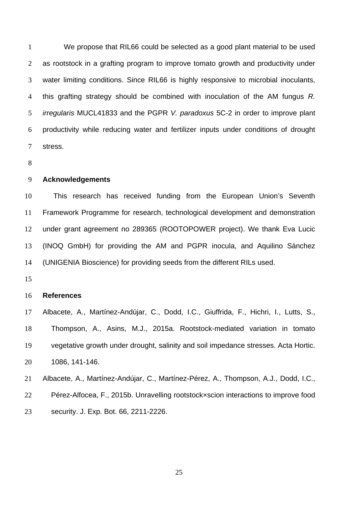We propose that RIL66 could be selected as a good plant material to be used as rootstock in a grafting program to improve tomato growth and productivity under water limiting conditions. Since RIL66 is highly responsive to microbial inoculants, this grafting strategy should be combined with inoculation of the AM fungus *R. irregularis* MUCL41833 and the PGPR *V. paradoxus* 5C-2 in order to improve plant productivity while reducing water and fertilizer inputs under conditions of drought stress.

# **Acknowledgements**

This research has received funding from the European Union's Seventh Framework Programme for research, technological development and demonstration under grant agreement no 289365 (ROOTOPOWER project). We thank Eva Lucic (INOQ GmbH) for providing the AM and PGPR inocula, and Aquilino Sánchez (UNIGENIA Bioscience) for providing seeds from the different RILs used.

#### **References**

Albacete, A., Martínez-Andújar, C., Dodd, I.C., Giuffrida, F., Hichri, I., Lutts, S., Thompson, A., Asins, M.J., 2015a. Rootstock-mediated variation in tomato vegetative growth under drought, salinity and soil impedance stresses. Acta Hortic. 1086, 141-146.

Albacete, A., Martínez-Andújar, C., Martínez-Pérez, A., Thompson, A.J., Dodd, I.C., Pérez-Alfocea, F., 2015b. Unravelling rootstock×scion interactions to improve food security. J. Exp. Bot. 66, 2211-2226.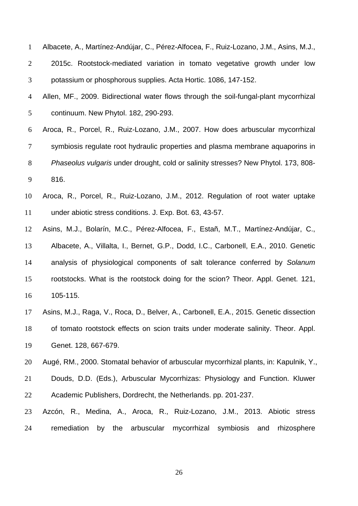| $\mathbf{1}$   | Albacete, A., Martínez-Andújar, C., Pérez-Alfocea, F., Ruiz-Lozano, J.M., Asins, M.J., |
|----------------|----------------------------------------------------------------------------------------|
| $\overline{2}$ | 2015c. Rootstock-mediated variation in tomato vegetative growth under low              |
| 3              | potassium or phosphorous supplies. Acta Hortic. 1086, 147-152.                         |
| $\overline{4}$ | Allen, MF., 2009. Bidirectional water flows through the soil-fungal-plant mycorrhizal  |
| 5              | continuum. New Phytol. 182, 290-293.                                                   |
| 6              | Aroca, R., Porcel, R., Ruiz-Lozano, J.M., 2007. How does arbuscular mycorrhizal        |
| $\overline{7}$ | symbiosis regulate root hydraulic properties and plasma membrane aquaporins in         |
| $8\,$          | Phaseolus vulgaris under drought, cold or salinity stresses? New Phytol. 173, 808-     |
| 9              | 816.                                                                                   |
| 10             | Aroca, R., Porcel, R., Ruiz-Lozano, J.M., 2012. Regulation of root water uptake        |
| 11             | under abiotic stress conditions. J. Exp. Bot. 63, 43-57.                               |
| 12             | Asins, M.J., Bolarín, M.C., Pérez-Alfocea, F., Estañ, M.T., Martínez-Andújar, C.,      |
| 13             | Albacete, A., Villalta, I., Bernet, G.P., Dodd, I.C., Carbonell, E.A., 2010. Genetic   |
| 14             | analysis of physiological components of salt tolerance conferred by Solanum            |
| 15             | rootstocks. What is the rootstock doing for the scion? Theor. Appl. Genet. 121,        |
| 16             | 105-115.                                                                               |
| 17             | Asins, M.J., Raga, V., Roca, D., Belver, A., Carbonell, E.A., 2015. Genetic dissection |
| 18             | of tomato rootstock effects on scion traits under moderate salinity. Theor. Appl.      |
| 19             | Genet. 128, 667-679.                                                                   |
| 20             | Augé, RM., 2000. Stomatal behavior of arbuscular mycorrhizal plants, in: Kapulnik, Y., |
| 21             | Douds, D.D. (Eds.), Arbuscular Mycorrhizas: Physiology and Function. Kluwer            |
| 22             | Academic Publishers, Dordrecht, the Netherlands. pp. 201-237.                          |
| 23             | Azcón, R., Medina, A., Aroca, R., Ruiz-Lozano, J.M., 2013. Abiotic stress              |
| 24             | the arbuscular<br>remediation<br>mycorrhizal symbiosis and<br>rhizosphere<br>by        |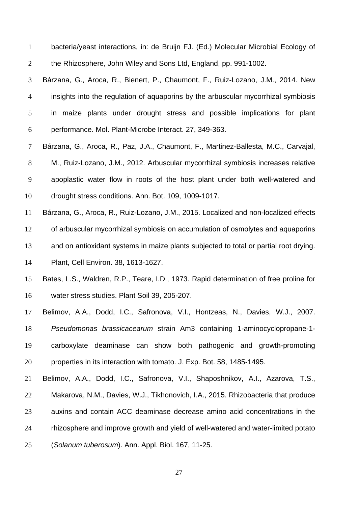bacteria/yeast interactions, in: de Bruijn FJ. (Ed.) Molecular Microbial Ecology of the Rhizosphere, John Wiley and Sons Ltd, England, pp. 991-1002.

Bárzana, G., Aroca, R., Bienert, P., Chaumont, F., Ruiz-Lozano, J.M., 2014. New insights into the regulation of aquaporins by the arbuscular mycorrhizal symbiosis in maize plants under drought stress and possible implications for plant performance. Mol. Plant-Microbe Interact. 27, 349-363.

Bárzana, G., Aroca, R., Paz, J.A., Chaumont, F., Martinez-Ballesta, M.C., Carvajal, M., Ruiz-Lozano, J.M., 2012. Arbuscular mycorrhizal symbiosis increases relative apoplastic water flow in roots of the host plant under both well-watered and drought stress conditions. Ann. Bot. 109, 1009-1017.

Bárzana, G., Aroca, R., Ruiz-Lozano, J.M., 2015. Localized and non-localized effects of arbuscular mycorrhizal symbiosis on accumulation of osmolytes and aquaporins and on antioxidant systems in maize plants subjected to total or partial root drying. Plant, Cell Environ. 38, 1613-1627.

Bates, L.S., Waldren, R.P., Teare, I.D., 1973. Rapid determination of free proline for water stress studies. Plant Soil 39, 205-207.

Belimov, A.A., Dodd, I.C., Safronova, V.I., Hontzeas, N., Davies, W.J., 2007. *Pseudomonas brassicacearum* strain Am3 containing 1-aminocyclopropane-1- carboxylate deaminase can show both pathogenic and growth-promoting properties in its interaction with tomato. J. Exp. Bot. 58, 1485-1495.

Belimov, A.A., Dodd, I.C., Safronova, V.I., Shaposhnikov, A.I., Azarova, T.S., Makarova, N.M., Davies, W.J., Tikhonovich, I.A., 2015. Rhizobacteria that produce auxins and contain ACC deaminase decrease amino acid concentrations in the rhizosphere and improve growth and yield of well-watered and water-limited potato (*Solanum tuberosum*). Ann. Appl. Biol. 167, 11-25.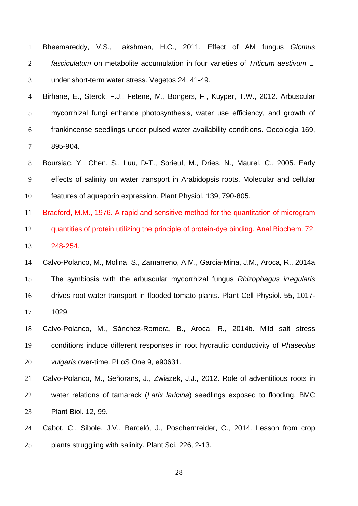|              | 1 Bheemareddy, V.S., Lakshman, H.C., 2011. Effect of AM fungus Glomus                |  |  |  |  |
|--------------|--------------------------------------------------------------------------------------|--|--|--|--|
| 2            | fasciculatum on metabolite accumulation in four varieties of Triticum aestivum L.    |  |  |  |  |
| $\mathbf{3}$ | under short-term water stress. Vegetos 24, 41-49.                                    |  |  |  |  |
|              | 4 Birhane, E., Sterck, F.J., Fetene, M., Bongers, F., Kuyper, T.W., 2012. Arbuscular |  |  |  |  |

mycorrhizal fungi enhance photosynthesis, water use efficiency, and growth of frankincense seedlings under pulsed water availability conditions. Oecologia 169, 895-904.

Boursiac, Y., Chen, S., Luu, D-T., Sorieul, M., Dries, N., Maurel, C., 2005. Early effects of salinity on water transport in Arabidopsis roots. Molecular and cellular features of aquaporin expression. Plant Physiol. 139, 790-805.

Bradford, M.M., 1976. A rapid and sensitive method for the quantitation of microgram quantities of protein utilizing the principle of protein-dye binding. Anal Biochem. 72, 248-254.

Calvo-Polanco, M., Molina, S., Zamarreno, A.M., Garcia-Mina, J.M., Aroca, R., 2014a. The symbiosis with the arbuscular mycorrhizal fungus *Rhizophagus irregularis* drives root water transport in flooded tomato plants. Plant Cell Physiol. 55, 1017- 1029.

Calvo-Polanco, M., Sánchez-Romera, B., Aroca, R., 2014b. Mild salt stress conditions induce different responses in root hydraulic conductivity of *Phaseolus vulgaris* over-time. PLoS One 9, e90631.

Calvo-Polanco, M., Señorans, J., Zwiazek, J.J., 2012. Role of adventitious roots in water relations of tamarack (*Larix laricina*) seedlings exposed to flooding. BMC Plant Biol. 12, 99.

Cabot, C., Sibole, J.V., Barceló, J., Poschernreider, C., 2014. Lesson from crop plants struggling with salinity. Plant Sci. 226, 2-13.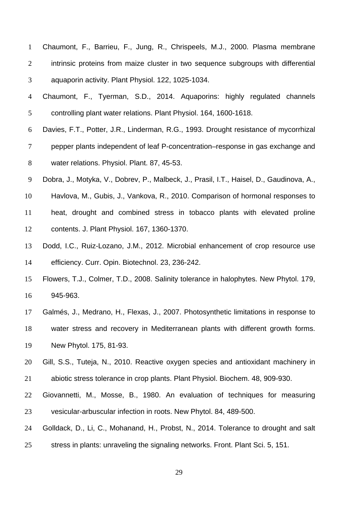| Chaumont, F., Barrieu, F., Jung, R., Chrispeels, M.J., 2000. Plasma membrane      |
|-----------------------------------------------------------------------------------|
| intrinsic proteins from maize cluster in two sequence subgroups with differential |
| aquaporin activity. Plant Physiol. 122, 1025-1034.                                |

- Chaumont, F., Tyerman, S.D., 2014. Aquaporins: highly regulated channels controlling plant water relations. Plant Physiol. 164, 1600-1618.
- Davies, F.T., Potter, J.R., Linderman, R.G., 1993. Drought resistance of mycorrhizal pepper plants independent of leaf P-concentration–response in gas exchange and water relations. Physiol. Plant. 87, 45-53.
- Dobra, J., Motyka, V., Dobrev, P., Malbeck, J., Prasil, I.T., Haisel, D., Gaudinova, A.,
- Havlova, M., Gubis, J., Vankova, R., 2010. Comparison of hormonal responses to heat, drought and combined stress in tobacco plants with elevated proline contents. J. Plant Physiol. 167, 1360-1370.
- Dodd, I.C., Ruiz-Lozano, J.M., 2012. Microbial enhancement of crop resource use efficiency. Curr. Opin. Biotechnol. 23, 236-242.
- Flowers, T.J., Colmer, T.D., 2008. Salinity tolerance in halophytes. New Phytol. 179, 945-963.
- Galmés, J., Medrano, H., Flexas, J., 2007. Photosynthetic limitations in response to

water stress and recovery in Mediterranean plants with different growth forms. New Phytol. 175, 81-93.

- Gill, S.S., Tuteja, N., 2010. Reactive oxygen species and antioxidant machinery in abiotic stress tolerance in crop plants. Plant Physiol. Biochem. 48, 909-930.
- Giovannetti, M., Mosse, B., 1980. An evaluation of techniques for measuring vesicular-arbuscular infection in roots. New Phytol. 84, 489-500.
- Golldack, D., Li, C., Mohanand, H., Probst, N., 2014. Tolerance to drought and salt
- stress in plants: unraveling the signaling networks. Front. Plant Sci. 5, 151.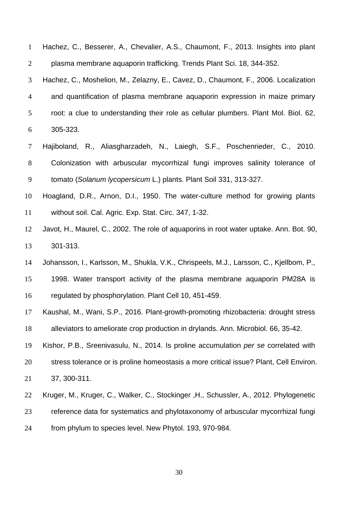Hachez, C., Besserer, A., Chevalier, A.S., Chaumont, F., 2013. Insights into plant plasma membrane aquaporin trafficking. Trends Plant Sci. 18, 344-352.

Hachez, C., Moshelion, M., Zelazny, E., Cavez, D., Chaumont, F., 2006. Localization and quantification of plasma membrane aquaporin expression in maize primary root: a clue to understanding their role as cellular plumbers. Plant Mol. Biol. 62, 305-323.

Hajiboland, R., Aliasgharzadeh, N., Laiegh, S.F., Poschenrieder, C., 2010. Colonization with arbuscular mycorrhizal fungi improves salinity tolerance of tomato (*Solanum lycopersicum* L.) plants. Plant Soil 331, 313-327.

Hoagland, D.R., Arnon, D.I., 1950. The water-culture method for growing plants without soil. Cal. Agric. Exp. Stat. Circ. 347, 1-32.

- Javot, H., Maurel, C., 2002. The role of aquaporins in root water uptake. Ann. Bot. 90, 301-313.
- Johansson, I., Karlsson, M., Shukla, V.K., Chrispeels, M.J., Larsson, C., Kjellbom, P.,

1998. Water transport activity of the plasma membrane aquaporin PM28A is regulated by phosphorylation. Plant Cell 10, 451-459.

Kaushal, M., Wani, S.P., 2016. Plant-growth-promoting rhizobacteria: drought stress alleviators to ameliorate crop production in drylands. Ann. Microbiol. 66, 35-42.

Kishor, P.B., Sreenivasulu, N., 2014. Is proline accumulation *per se* correlated with stress tolerance or is proline homeostasis a more critical issue? Plant, Cell Environ.

37, 300-311.

- Kruger, M., Kruger, C., Walker, C., Stockinger ,H., Schussler, A., 2012. Phylogenetic
- reference data for systematics and phylotaxonomy of arbuscular mycorrhizal fungi
- from phylum to species level. New Phytol. 193, 970-984.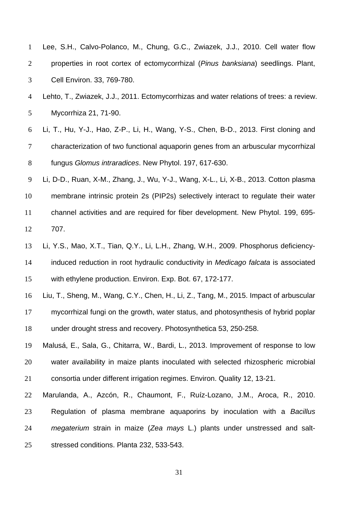| $\mathbf{1}$   | Lee, S.H., Calvo-Polanco, M., Chung, G.C., Zwiazek, J.J., 2010. Cell water flow         |
|----------------|-----------------------------------------------------------------------------------------|
| 2              | properties in root cortex of ectomycorrhizal (Pinus banksiana) seedlings. Plant,        |
| 3              | Cell Environ. 33, 769-780.                                                              |
| $\overline{4}$ | Lehto, T., Zwiazek, J.J., 2011. Ectomycorrhizas and water relations of trees: a review. |
| 5              | Mycorrhiza 21, 71-90.                                                                   |
| 6              | Li, T., Hu, Y-J., Hao, Z-P., Li, H., Wang, Y-S., Chen, B-D., 2013. First cloning and    |
| $\tau$         | characterization of two functional aquaporin genes from an arbuscular mycorrhizal       |
| 8              | fungus Glomus intraradices. New Phytol. 197, 617-630.                                   |
| 9              | Li, D-D., Ruan, X-M., Zhang, J., Wu, Y-J., Wang, X-L., Li, X-B., 2013. Cotton plasma    |
| 10             | membrane intrinsic protein 2s (PIP2s) selectively interact to regulate their water      |
| 11             | channel activities and are required for fiber development. New Phytol. 199, 695-        |
| 12             | 707.                                                                                    |
| 13             | Li, Y.S., Mao, X.T., Tian, Q.Y., Li, L.H., Zhang, W.H., 2009. Phosphorus deficiency-    |
| 14             | induced reduction in root hydraulic conductivity in Medicago falcata is associated      |
| 15             | with ethylene production. Environ. Exp. Bot. 67, 172-177.                               |
| 16             | Liu, T., Sheng, M., Wang, C.Y., Chen, H., Li, Z., Tang, M., 2015. Impact of arbuscular  |
| 17             | mycorrhizal fungi on the growth, water status, and photosynthesis of hybrid poplar      |
| 18             | under drought stress and recovery. Photosynthetica 53, 250-258.                         |
| 19             | Malusá, E., Sala, G., Chitarra, W., Bardi, L., 2013. Improvement of response to low     |
| 20             | water availability in maize plants inoculated with selected rhizospheric microbial      |
| 21             | consortia under different irrigation regimes. Environ. Quality 12, 13-21.               |
| 22             | Marulanda, A., Azcón, R., Chaumont, F., Ruíz-Lozano, J.M., Aroca, R., 2010.             |
| 23             | Regulation of plasma membrane aquaporins by inoculation with a Bacillus                 |
| 24             | megaterium strain in maize (Zea mays L.) plants under unstressed and salt-              |
| 25             | stressed conditions. Planta 232, 533-543.                                               |
|                |                                                                                         |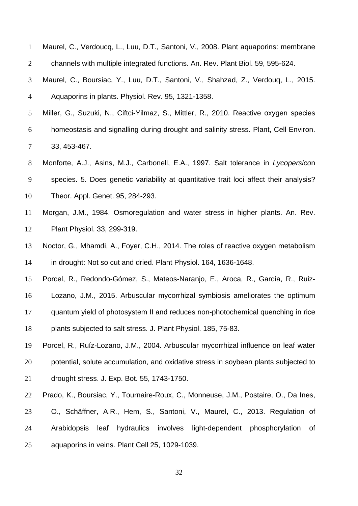| $\mathbf{1}$   | Maurel, C., Verdoucq, L., Luu, D.T., Santoni, V., 2008. Plant aquaporins: membrane     |
|----------------|----------------------------------------------------------------------------------------|
| $\overline{2}$ | channels with multiple integrated functions. An. Rev. Plant Biol. 59, 595-624.         |
| 3              | Maurel, C., Boursiac, Y., Luu, D.T., Santoni, V., Shahzad, Z., Verdouq, L., 2015.      |
| $\overline{4}$ | Aquaporins in plants. Physiol. Rev. 95, 1321-1358.                                     |
| 5              | Miller, G., Suzuki, N., Ciftci-Yilmaz, S., Mittler, R., 2010. Reactive oxygen species  |
| 6              | homeostasis and signalling during drought and salinity stress. Plant, Cell Environ.    |
| $\tau$         | 33, 453-467.                                                                           |
| $8\,$          | Monforte, A.J., Asins, M.J., Carbonell, E.A., 1997. Salt tolerance in Lycopersicon     |
| 9              | species. 5. Does genetic variability at quantitative trait loci affect their analysis? |
| 10             | Theor. Appl. Genet. 95, 284-293.                                                       |
| 11             | Morgan, J.M., 1984. Osmoregulation and water stress in higher plants. An. Rev.         |
| 12             | Plant Physiol. 33, 299-319.                                                            |
| 13             | Noctor, G., Mhamdi, A., Foyer, C.H., 2014. The roles of reactive oxygen metabolism     |
| 14             | in drought: Not so cut and dried. Plant Physiol. 164, 1636-1648.                       |
| 15             | Porcel, R., Redondo-Gómez, S., Mateos-Naranjo, E., Aroca, R., García, R., Ruiz-        |
| 16             | Lozano, J.M., 2015. Arbuscular mycorrhizal symbiosis ameliorates the optimum           |
| 17             | quantum yield of photosystem II and reduces non-photochemical quenching in rice        |
| 18             | plants subjected to salt stress. J. Plant Physiol. 185, 75-83.                         |
| 19             | Porcel, R., Ruíz-Lozano, J.M., 2004. Arbuscular mycorrhizal influence on leaf water    |
| 20             | potential, solute accumulation, and oxidative stress in soybean plants subjected to    |
| 21             | drought stress. J. Exp. Bot. 55, 1743-1750.                                            |
| 22             | Prado, K., Boursiac, Y., Tournaire-Roux, C., Monneuse, J.M., Postaire, O., Da Ines,    |
| 23             | O., Schäffner, A.R., Hem, S., Santoni, V., Maurel, C., 2013. Regulation of             |
| 24             | hydraulics<br>involves light-dependent phosphorylation<br>Arabidopsis<br>leaf<br>0f    |
| 25             | aquaporins in veins. Plant Cell 25, 1029-1039.                                         |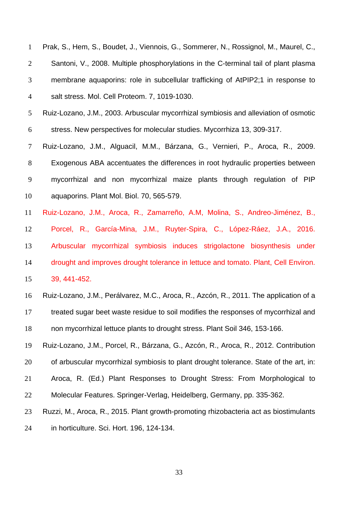Prak, S., Hem, S., Boudet, J., Viennois, G., Sommerer, N., Rossignol, M., Maurel, C., Santoni, V., 2008. Multiple phosphorylations in the C-terminal tail of plant plasma membrane aquaporins: role in subcellular trafficking of AtPIP2;1 in response to salt stress. Mol. Cell Proteom. 7, 1019-1030.

Ruiz-Lozano, J.M., 2003. Arbuscular mycorrhizal symbiosis and alleviation of osmotic stress. New perspectives for molecular studies. Mycorrhiza 13, 309-317.

Ruiz-Lozano, J.M., Alguacil, M.M., Bárzana, G., Vernieri, P., Aroca, R., 2009. Exogenous ABA accentuates the differences in root hydraulic properties between mycorrhizal and non mycorrhizal maize plants through regulation of PIP aquaporins. Plant Mol. Biol. 70, 565-579.

Ruiz-Lozano, J.M., Aroca, R., Zamarreño, A.M, Molina, S., Andreo-Jiménez, B., Porcel, R., García-Mina, J.M., Ruyter-Spira, C., López-Ráez, J.A., 2016. Arbuscular mycorrhizal symbiosis induces strigolactone biosynthesis under drought and improves drought tolerance in lettuce and tomato. Plant, Cell Environ. 39, 441-452.

Ruiz-Lozano, J.M., Perálvarez, M.C., Aroca, R., Azcón, R., 2011. The application of a treated sugar beet waste residue to soil modifies the responses of mycorrhizal and non mycorrhizal lettuce plants to drought stress. Plant Soil 346, 153-166.

Ruiz-Lozano, J.M., Porcel, R., Bárzana, G., Azcón, R., Aroca, R., 2012. Contribution of arbuscular mycorrhizal symbiosis to plant drought tolerance. State of the art, in: Aroca, R. (Ed.) Plant Responses to Drought Stress: From Morphological to Molecular Features. Springer-Verlag, Heidelberg, Germany, pp. 335-362.

Ruzzi, M., Aroca, R., 2015. Plant growth-promoting rhizobacteria act as biostimulants

in horticulture. Sci. Hort. 196, 124-134.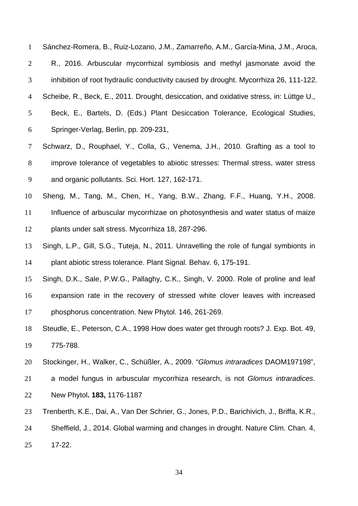Sánchez-Romera, B., Ruiz-Lozano, J.M., Zamarreño, A.M., García-Mina, J.M., Aroca, R., 2016. Arbuscular mycorrhizal symbiosis and methyl jasmonate avoid the inhibition of root hydraulic conductivity caused by drought. Mycorrhiza 26, 111-122. Scheibe, R., Beck, E., 2011. Drought, desiccation, and oxidative stress, in: Lüttge U., Beck, E., Bartels, D. (Eds.) Plant Desiccation Tolerance, Ecological Studies, Springer-Verlag, Berlin, pp. 209-231, Schwarz, D., Rouphael, Y., Colla, G., Venema, J.H., 2010. Grafting as a tool to improve tolerance of vegetables to abiotic stresses: Thermal stress, water stress and organic pollutants. Sci. Hort. 127, 162-171.

Sheng, M., Tang, M., Chen, H., Yang, B.W., Zhang, F.F., Huang, Y.H., 2008. 11 Influence of arbuscular mycorrhizae on photosynthesis and water status of maize plants under salt stress. Mycorrhiza 18, 287-296.

Singh, L.P., Gill, S.G., Tuteja, N., 2011. Unravelling the role of fungal symbionts in plant abiotic stress tolerance. Plant Signal. Behav. 6, 175-191.

Singh, D.K., Sale, P.W.G., Pallaghy, C.K., Singh, V. 2000. Role of proline and leaf expansion rate in the recovery of stressed white clover leaves with increased phosphorus concentration. New Phytol. 146, 261-269.

Steudle, E., Peterson, C.A., 1998 How does water get through roots? J. Exp. Bot. 49, 775-788.

Stockinger, H., Walker, C., Schüßler, A., 2009. "*Glomus intraradices* DAOM197198",

a model fungus in arbuscular mycorrhiza research, is not *Glomus intraradices*. New Phytol**. 183,** 1176-1187

Trenberth, K.E., Dai, A., Van Der Schrier, G., Jones, P.D., Barichivich, J., Briffa, K.R.,

Sheffield, J., 2014. Global warming and changes in drought. Nature Clim. Chan. 4,

17-22.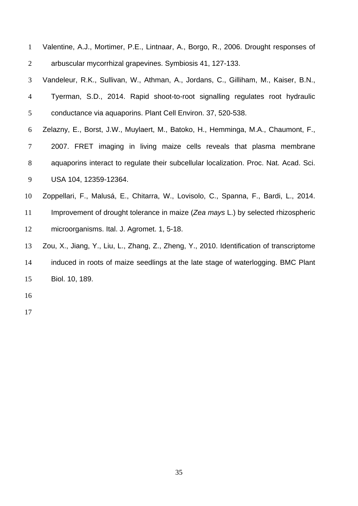| $\mathbf{1}$   | Valentine, A.J., Mortimer, P.E., Lintnaar, A., Borgo, R., 2006. Drought responses of     |
|----------------|------------------------------------------------------------------------------------------|
| $\overline{2}$ | arbuscular mycorrhizal grapevines. Symbiosis 41, 127-133.                                |
| 3              | Vandeleur, R.K., Sullivan, W., Athman, A., Jordans, C., Gilliham, M., Kaiser, B.N.,      |
| $\overline{4}$ | Tyerman, S.D., 2014. Rapid shoot-to-root signalling regulates root hydraulic             |
| 5              | conductance via aquaporins. Plant Cell Environ. 37, 520-538.                             |
| 6              | Zelazny, E., Borst, J.W., Muylaert, M., Batoko, H., Hemminga, M.A., Chaumont, F.,        |
| 7              | 2007. FRET imaging in living maize cells reveals that plasma membrane                    |
| $8\phantom{1}$ | aquaporins interact to regulate their subcellular localization. Proc. Nat. Acad. Sci.    |
| 9              | USA 104, 12359-12364.                                                                    |
| 10             | Zoppellari, F., Malusá, E., Chitarra, W., Lovisolo, C., Spanna, F., Bardi, L., 2014.     |
| 11             | Improvement of drought tolerance in maize (Zea mays L.) by selected rhizospheric         |
| 12             | microorganisms. Ital. J. Agromet. 1, 5-18.                                               |
| 13             | Zou, X., Jiang, Y., Liu, L., Zhang, Z., Zheng, Y., 2010. Identification of transcriptome |
| 14             | induced in roots of maize seedlings at the late stage of waterlogging. BMC Plant         |
| 15             | Biol. 10, 189.                                                                           |
|                |                                                                                          |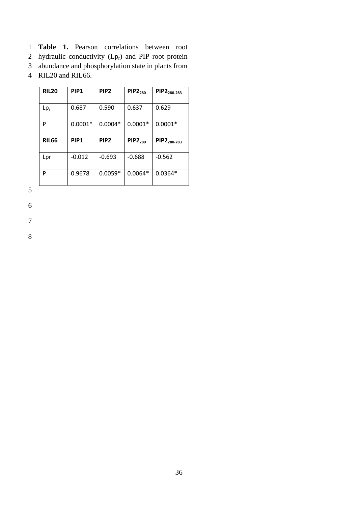- 1 **Table 1.** Pearson correlations between root
- 2 hydraulic conductivity  $(Lp_r)$  and PIP root protein
- 3 abundance and phosphorylation state in plants from
- 4 RIL20 and RIL66.

| <b>RIL20</b> | PIP <sub>1</sub> | PIP <sub>2</sub> | <b>PIP2</b> <sub>280</sub> | PIP2 <sub>280-283</sub> |
|--------------|------------------|------------------|----------------------------|-------------------------|
| $Lp_r$       | 0.687            | 0.590            | 0.637                      | 0.629                   |
| P            | $0.0001*$        | $0.0004*$        | $0.0001*$                  | $0.0001*$               |
|              |                  |                  |                            |                         |
| <b>RIL66</b> | PIP <sub>1</sub> | PIP <sub>2</sub> | <b>PIP2280</b>             | PIP2 <sub>280-283</sub> |
| Lpr          | $-0.012$         | $-0.693$         | $-0.688$                   | $-0.562$                |

5

6

7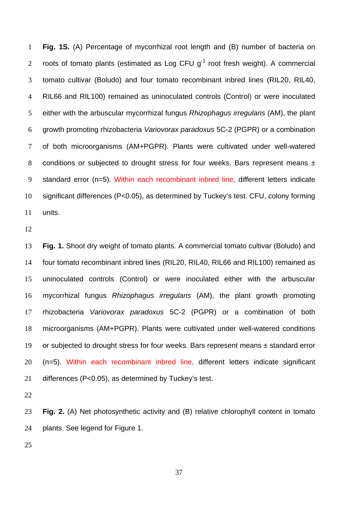**Fig. 1S.** (A) Percentage of mycorrhizal root length and (B) number of bacteria on 2 roots of tomato plants (estimated as Log CFU  $q<sup>-1</sup>$  root fresh weight). A commercial tomato cultivar (Boludo) and four tomato recombinant inbred lines (RIL20, RIL40, RIL66 and RIL100) remained as uninoculated controls (Control) or were inoculated either with the arbuscular mycorrhizal fungus *Rhizophagus irregularis* (AM), the plant growth promoting rhizobacteria *Variovorax paradoxus* 5C-2 (PGPR) or a combination of both microorganisms (AM+PGPR). Plants were cultivated under well-watered 8 conditions or subjected to drought stress for four weeks. Bars represent means  $\pm$ 9 standard error (n=5). Within each recombinant inbred line, different letters indicate significant differences (P<0.05), as determined by Tuckey's test. CFU, colony forming units.

**Fig. 1.** Shoot dry weight of tomato plants. A commercial tomato cultivar (Boludo) and four tomato recombinant inbred lines (RIL20, RIL40, RIL66 and RIL100) remained as uninoculated controls (Control) or were inoculated either with the arbuscular mycorrhizal fungus *Rhizophagus irregularis* (AM), the plant growth promoting rhizobacteria *Variovorax paradoxus* 5C-2 (PGPR) or a combination of both microorganisms (AM+PGPR). Plants were cultivated under well-watered conditions 19 or subjected to drought stress for four weeks. Bars represent means  $\pm$  standard error (n=5). Within each recombinant inbred line, different letters indicate significant differences (P<0.05), as determined by Tuckey's test.

**Fig. 2.** (A) Net photosynthetic activity and (B) relative chlorophyll content in tomato plants. See legend for Figure 1.